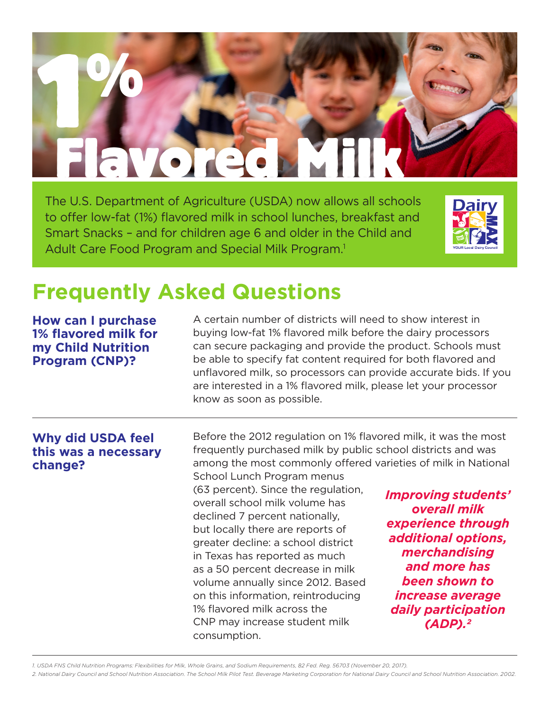# **Flavored Milk 1%**

The U.S. Department of Agriculture (USDA) now allows all schools to offer low-fat (1%) flavored milk in school lunches, breakfast and Smart Snacks – and for children age 6 and older in the Child and Adult Care Food Program and Special Milk Program.<sup>1</sup>



## **Frequently Asked Questions**

**How can I purchase 1% flavored milk for my Child Nutrition Program (CNP)? Why did USDA feel this was a necessary change?** A certain number of districts will need to show interest in buying low-fat 1% flavored milk before the dairy processors can secure packaging and provide the product. Schools must be able to specify fat content required for both flavored and unflavored milk, so processors can provide accurate bids. If you are interested in a 1% flavored milk, please let your processor know as soon as possible. Before the 2012 regulation on 1% flavored milk, it was the most frequently purchased milk by public school districts and was among the most commonly offered varieties of milk in National School Lunch Program menus (63 percent). Since the regulation, overall school milk volume has declined 7 percent nationally, but locally there are reports of greater decline: a school district in Texas has reported as much as a 50 percent decrease in milk volume annually since 2012. Based on this information, reintroducing 1% flavored milk across the CNP may increase student milk consumption. *Improving students' overall milk experience through additional options, merchandising and more has been shown to increase average daily participation (ADP).2*

*1. USDA FNS Child Nutrition Programs: Flexibilities for Milk, Whole Grains, and Sodium Requirements, 82 Fed. Reg. 56703 (November 20, 2017).*

#### *2. National Dairy Council and School Nutrition Association. The School Milk Pilot Test. Beverage Marketing Corporation for National Dairy Council and School Nutrition Association. 2002.*